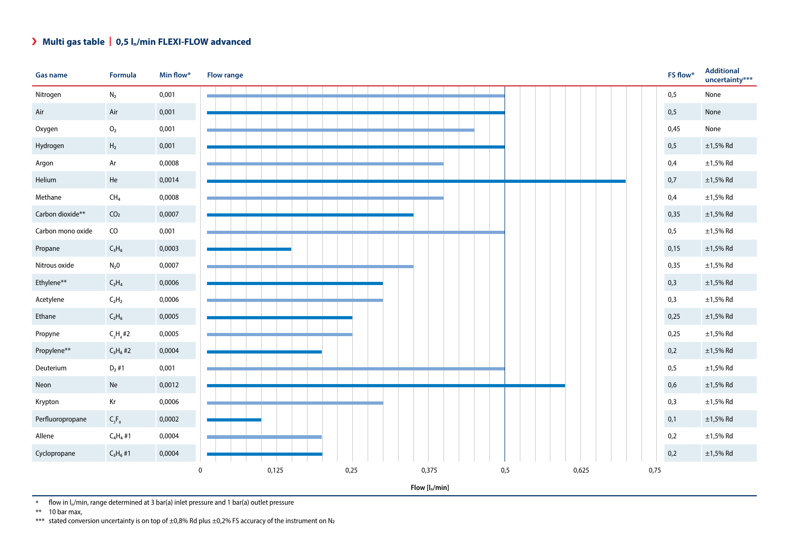## $\lambda$  Multi gas table | 0,5 l<sub>n</sub>/min FLEXI-FLOW advanced

| <b>Gas name</b>   | Formula         | Min flow* | <b>Flow range</b>    |      |                  |     |       | FS flow* | <b>Additional</b><br>uncertainty*** |
|-------------------|-----------------|-----------|----------------------|------|------------------|-----|-------|----------|-------------------------------------|
| Nitrogen          | $\mathsf{N}_2$  | 0,001     |                      |      |                  |     |       | 0,5      | None                                |
| Air               | Air             | 0,001     |                      |      |                  |     |       | 0,5      | None                                |
| Oxygen            | $\mathrm{O}_2$  | 0,001     |                      |      |                  |     |       | 0,45     | None                                |
| Hydrogen          | ${\sf H_2}$     | 0,001     |                      |      |                  |     |       | 0,5      | $\pm$ 1,5% Rd                       |
| Argon             | Ar              | 0,0008    |                      |      |                  |     |       | 0,4      | $\pm 1,5\%$ Rd                      |
| Helium            | He              | 0,0014    |                      |      |                  |     |       | 0,7      | $\pm$ 1,5% Rd                       |
| Methane           | CH <sub>4</sub> | 0,0008    |                      |      |                  |     |       | 0,4      | $\pm$ 1,5% Rd                       |
| Carbon dioxide**  | CO <sub>2</sub> | 0,0007    |                      |      |                  |     |       | 0,35     | $\pm$ 1,5% Rd                       |
| Carbon mono oxide | ${\sf CO}$      | 0,001     |                      |      |                  |     |       | 0,5      | $\pm 1,5\%$ Rd                      |
| Propane           | $C_3H_6$        | 0,0003    |                      |      |                  |     |       | 0,15     | $\pm$ 1,5% Rd                       |
| Nitrous oxide     | $N_2$ 0         | 0,0007    |                      |      |                  |     |       | 0,35     | $\pm 1,5\%$ Rd                      |
| Ethylene**        | $C_2H_4$        | 0,0006    |                      |      |                  |     |       | 0,3      | $\pm 1,5\%$ Rd                      |
| Acetylene         | $C_2H_2$        | 0,0006    |                      |      |                  |     |       | 0,3      | $\pm$ 1,5% Rd                       |
| Ethane            | $C_2H_6$        | 0,0005    |                      |      |                  |     |       | 0,25     | $\pm$ 1,5% Rd                       |
| Propyne           | $C_3H_4#2$      | 0,0005    |                      |      |                  |     |       | 0,25     | $\pm 1,5\%$ Rd                      |
| Propylene**       | $C_3H_6#2$      | 0,0004    |                      |      |                  |     |       | 0,2      | $\pm 1,5\%$ Rd                      |
| Deuterium         | $D_2$ #1        | 0,001     |                      |      |                  |     |       | 0,5      | $\pm 1,5\%$ Rd                      |
| Neon              | Ne              | 0,0012    |                      |      |                  |     |       | 0,6      | $\pm$ 1,5% Rd                       |
| Krypton           | Kr              | 0,0006    |                      |      |                  |     |       | 0,3      | $\pm 1,5\%$ Rd                      |
| Perfluoropropane  | $C_{3}F_{8}$    | 0,0002    |                      |      |                  |     |       | 0,1      | $\pm$ 1,5% Rd                       |
| Allene            | $C_4H_4$ #1     | 0,0004    |                      |      |                  |     |       | 0,2      | $\pm 1,5\%$ Rd                      |
| Cyclopropane      | $C_3H_6#1$      | 0,0004    |                      |      |                  |     |       | 0,2      | $\pm$ 1,5% Rd                       |
|                   |                 |           | 0,125<br>$\mathbf 0$ | 0,25 | 0,375            | 0,5 | 0,625 | 0,75     |                                     |
|                   |                 |           |                      |      | $Flow [I_n/min]$ |     |       |          |                                     |

 $\overline{\text{A}}$  flow in l<sub>n</sub>/min, range determined at 3 bar(a) inlet pressure and 1 bar(a) outlet pressure

\*\* 10 bar max,

\*\*\* stated conversion uncertainty is on top of  $\pm 0.8\%$  Rd plus  $\pm 0.2\%$  FS accuracy of the instrument on N<sub>2</sub>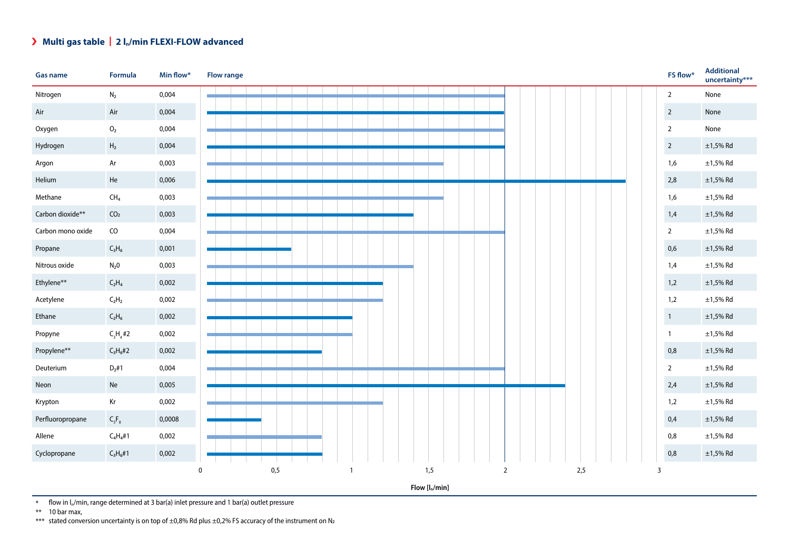## **Multi gas table** | **2 ln/min FLEXI-FLOW advanced**



\* flow in  $\frac{1}{n}$ /min, range determined at 3 bar(a) inlet pressure and 1 bar(a) outlet pressure <br>\*\* 10 bar max.

10 bar max,

\*\*\* stated conversion uncertainty is on top of  $\pm 0.8$ % Rd plus  $\pm 0.2$ % FS accuracy of the instrument on N<sub>2</sub>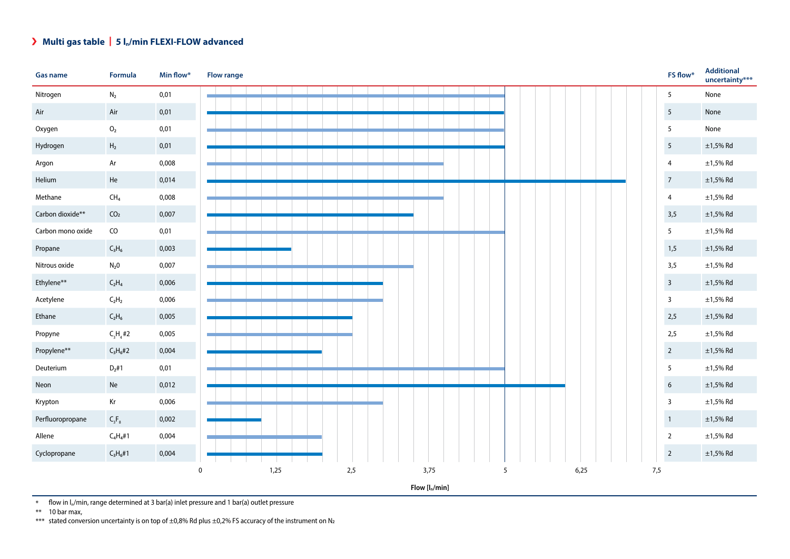## **Multi gas table** | **5 ln/min FLEXI-FLOW advanced**



 $*$  flow in  $I_n/m$ in, range determined at 3 bar(a) inlet pressure and 1 bar(a) outlet pressure

\*\* 10 bar max,

\*\*\* stated conversion uncertainty is on top of  $\pm 0.8$ % Rd plus  $\pm 0.2$ % FS accuracy of the instrument on N<sub>2</sub>